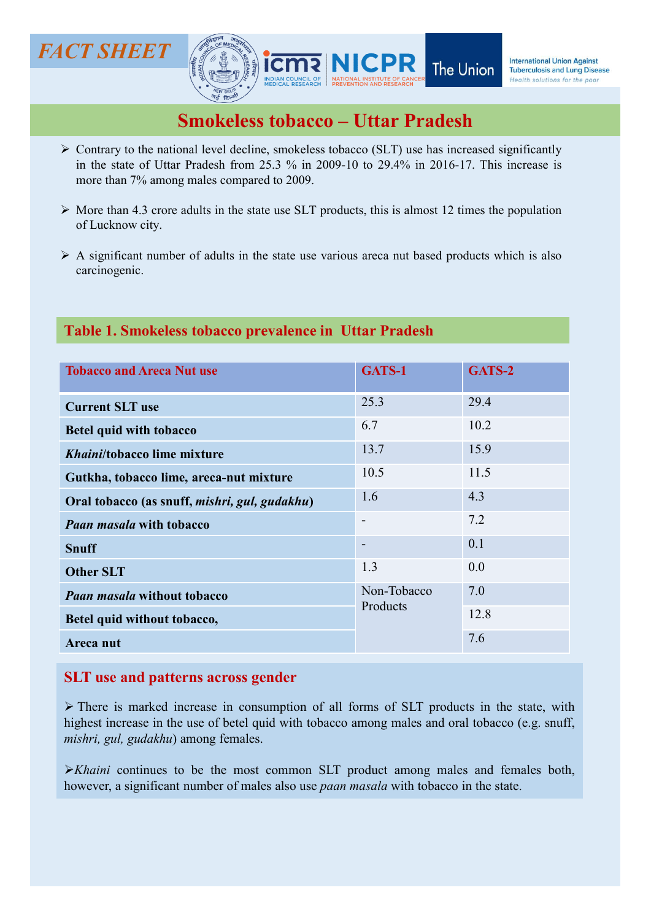

- 
- 
- carcinogenic.

## Table 1. Smokeless tobacco prevalence in Uttar Pradesh

| <b>NEW DELH</b>                                                                                                                                                                                                                                                                                                                                                                                                                                                                                  |                          |        |
|--------------------------------------------------------------------------------------------------------------------------------------------------------------------------------------------------------------------------------------------------------------------------------------------------------------------------------------------------------------------------------------------------------------------------------------------------------------------------------------------------|--------------------------|--------|
| <b>Smokeless tobacco - Uttar Pradesh</b>                                                                                                                                                                                                                                                                                                                                                                                                                                                         |                          |        |
| $\triangleright$ Contrary to the national level decline, smokeless tobacco (SLT) use has increased significantly<br>in the state of Uttar Pradesh from 25.3 % in 2009-10 to 29.4% in 2016-17. This increase is<br>more than 7% among males compared to 2009.                                                                                                                                                                                                                                     |                          |        |
| $\triangleright$ More than 4.3 crore adults in the state use SLT products, this is almost 12 times the population<br>of Lucknow city.                                                                                                                                                                                                                                                                                                                                                            |                          |        |
| $\triangleright$ A significant number of adults in the state use various areca nut based products which is also<br>carcinogenic.                                                                                                                                                                                                                                                                                                                                                                 |                          |        |
| Table 1. Smokeless tobacco prevalence in Uttar Pradesh                                                                                                                                                                                                                                                                                                                                                                                                                                           |                          |        |
| <b>Tobacco and Areca Nut use</b>                                                                                                                                                                                                                                                                                                                                                                                                                                                                 | GATS-1                   | GATS-2 |
| <b>Current SLT use</b>                                                                                                                                                                                                                                                                                                                                                                                                                                                                           | 25.3                     | 29.4   |
| <b>Betel quid with tobacco</b>                                                                                                                                                                                                                                                                                                                                                                                                                                                                   | 6.7                      | 10.2   |
| Khaini/tobacco lime mixture                                                                                                                                                                                                                                                                                                                                                                                                                                                                      | 13.7                     | 15.9   |
| Gutkha, tobacco lime, areca-nut mixture                                                                                                                                                                                                                                                                                                                                                                                                                                                          | 10.5                     | 11.5   |
| Oral tobacco (as snuff, mishri, gul, gudakhu)                                                                                                                                                                                                                                                                                                                                                                                                                                                    | 1.6                      | 4.3    |
| <b>Paan masala with tobacco</b>                                                                                                                                                                                                                                                                                                                                                                                                                                                                  | $\overline{\phantom{a}}$ | 7.2    |
| <b>Snuff</b>                                                                                                                                                                                                                                                                                                                                                                                                                                                                                     |                          | 0.1    |
| <b>Other SLT</b>                                                                                                                                                                                                                                                                                                                                                                                                                                                                                 | 1.3                      | 0.0    |
| <b>Paan masala without tobacco</b>                                                                                                                                                                                                                                                                                                                                                                                                                                                               | Non-Tobacco<br>Products  | 7.0    |
| Betel quid without tobacco,                                                                                                                                                                                                                                                                                                                                                                                                                                                                      |                          | 12.8   |
| Areca nut                                                                                                                                                                                                                                                                                                                                                                                                                                                                                        |                          | 7.6    |
| <b>SLT</b> use and patterns across gender<br>$\triangleright$ There is marked increase in consumption of all forms of SLT products in the state, with<br>highest increase in the use of betel quid with tobacco among males and oral tobacco (e.g. snuff,<br>mishri, gul, gudakhu) among females.<br>$\triangleright$ Khaini continues to be the most common SLT product among males and females both,<br>however, a significant number of males also use paan masala with tobacco in the state. |                          |        |